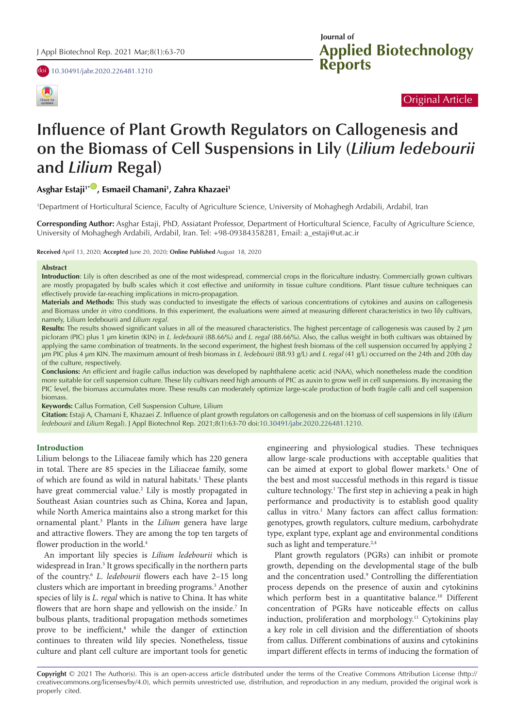doi [10.30491/jabr.2020.226481.1210](https://doi.org/10.30491/jabr.2020.226481.1210)



**Applied Biotechnology Reports Journal of** 

## Original Article

# **Influence of Plant Growth Regulators on Callogenesis and on the Biomass of Cell Suspensions in Lily (***Lilium ledebourii* **and** *Lilium* **Regal)**

## **Asghar Estaji1\*** [ID](http://orcid.org/0000-0001-8365-4138) **, Esmaeil Chamani1 , Zahra Khazaei1**

1 Department of Horticultural Science, Faculty of Agriculture Science, University of Mohaghegh Ardabili, Ardabil, Iran

**Corresponding Author:** Asghar Estaji, PhD, Assiatant Professor, Department of Horticultural Science, Faculty of Agriculture Science, University of Mohaghegh Ardabili, Ardabil, Iran. Tel: +98-09384358281, Email: a\_estaji@ut.ac.ir

**Received** April 13, 2020; **Accepted** June 20, 2020; **Online Published** August 18, 2020

#### **Abstract**

**Introduction**: Lily is often described as one of the most widespread, commercial crops in the floriculture industry. Commercially grown cultivars are mostly propagated by bulb scales which it cost effective and uniformity in tissue culture conditions. Plant tissue culture techniques can effectively provide far-reaching implications in micro-propagation.

**Materials and Methods:** This study was conducted to investigate the effects of various concentrations of cytokines and auxins on callogenesis and Biomass under *in vitro* conditions. In this experiment, the evaluations were aimed at measuring different characteristics in two lily cultivars, namely, Lilium ledebourii and *Lilium regal*.

**Results:** The results showed significant values in all of the measured characteristics. The highest percentage of callogenesis was caused by 2 µm picloram (PIC) plus 1 µm kinetin (KIN) in *L. ledebourii* (88.66%) and *L. regal* (88.66%). Also, the callus weight in both cultivars was obtained by applying the same combination of treatments. In the second experiment, the highest fresh biomass of the cell suspension occurred by applying 2 µm PIC plus 4 µm KIN. The maximum amount of fresh biomass in *L. ledebourii* (88.93 g/L) and *L. regal* (41 g/L) occurred on the 24th and 20th day of the culture, respectively.

**Conclusions:** An efficient and fragile callus induction was developed by naphthalene acetic acid (NAA), which nonetheless made the condition more suitable for cell suspension culture. These lily cultivars need high amounts of PIC as auxin to grow well in cell suspensions. By increasing the PIC level, the biomass accumulates more. These results can moderately optimize large-scale production of both fragile calli and cell suspension biomass.

**Keywords:** Callus Formation, Cell Suspension Culture, Lilium

**Citation:** Estaji A, Chamani E, Khazaei Z. Influence of plant growth regulators on callogenesis and on the biomass of cell suspensions in lily (*Lilium ledebourii* and *Lilium* Regal). J Appl Biotechnol Rep. 2021;8(1):63-70 doi[:10.30491/jabr.2020.226481.1210](https://doi.org/10.30491/jabr.2020.226481.1210).

#### **Introduction**

Lilium belongs to the Liliaceae family which has 220 genera in total. There are 85 species in the Liliaceae family, some of which are found as wild in natural habitats.<sup>1</sup> These plants have great commercial value.<sup>2</sup> Lily is mostly propagated in Southeast Asian countries such as China, Korea and Japan, while North America maintains also a strong market for this ornamental plant.3 Plants in the *Lilium* genera have large and attractive flowers. They are among the top ten targets of flower production in the world.<sup>4</sup>

An important lily species is *Lilium ledebourii* which is widespread in Iran.<sup>5</sup> It grows specifically in the northern parts of the country.6 *L. ledebourii* flowers each have 2–15 long clusters which are important in breeding programs.<sup>3</sup> Another species of lily is *L. regal* which is native to China. It has white flowers that are horn shape and yellowish on the inside.<sup>7</sup> In bulbous plants, traditional propagation methods sometimes prove to be inefficient,<sup>8</sup> while the danger of extinction continues to threaten wild lily species. Nonetheless, tissue culture and plant cell culture are important tools for genetic

engineering and physiological studies. These techniques allow large-scale productions with acceptable qualities that can be aimed at export to global flower markets.<sup>5</sup> One of the best and most successful methods in this regard is tissue culture technology.<sup>1</sup> The first step in achieving a peak in high performance and productivity is to establish good quality callus in vitro.<sup>1</sup> Many factors can affect callus formation: genotypes, growth regulators, culture medium, carbohydrate type, explant type, explant age and environmental conditions such as light and temperature.<sup>2,4</sup>

Plant growth regulators (PGRs) can inhibit or promote growth, depending on the developmental stage of the bulb and the concentration used.<sup>9</sup> Controlling the differentiation process depends on the presence of auxin and cytokinins which perform best in a quantitative balance.<sup>10</sup> Different concentration of PGRs have noticeable effects on callus induction, proliferation and morphology.<sup>11</sup> Cytokinins play a key role in cell division and the differentiation of shoots from callus. Different combinations of auxins and cytokinins impart different effects in terms of inducing the formation of

**Copyright** © 2021 The Author(s). This is an open-access article distributed under the terms of the Creative Commons Attribution License (http:// creativecommons.org/licenses/by/4.0), which permits unrestricted use, distribution, and reproduction in any medium, provided the original work is properly cited.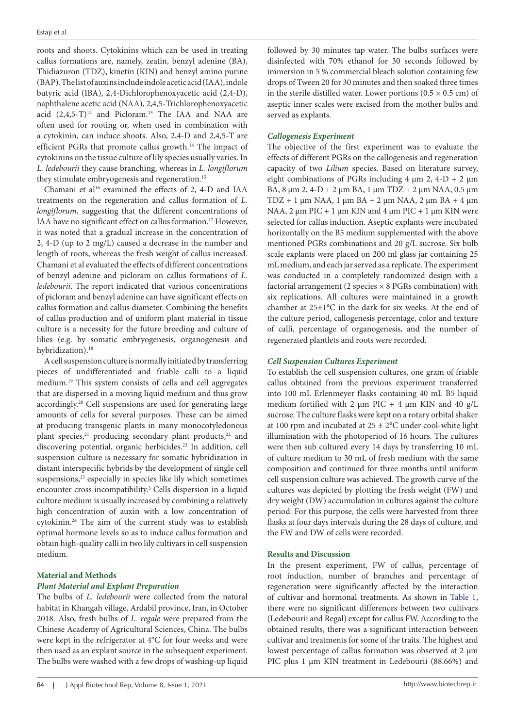roots and shoots. Cytokinins which can be used in treating callus formations are, namely, zeatin, benzyl adenine (BA), Thidiazuron (TDZ), kinetin (KIN) and benzyl amino purine (BAP). The list of auxins include indole acetic acid (IAA), indole butyric acid (IBA), 2,4-Dichlorophenoxyacetic acid (2,4-D), naphthalene acetic acid (NAA), 2,4,5-Trichlorophenoxyacetic acid  $(2,4,5-T)^{12}$  and Picloram.<sup>13</sup> The IAA and NAA are often used for rooting or, when used in combination with a cytokinin, can induce shoots. Also, 2,4-D and 2,4,5-T are efficient PGRs that promote callus growth.14 The impact of cytokinins on the tissue culture of lily species usually varies. In *L. ledebourii* they cause branching, whereas in *L. longiflorum* they stimulate embryogenesis and regeneration.<sup>15</sup>

Chamani et al<sup>16</sup> examined the effects of 2, 4-D and IAA treatments on the regeneration and callus formation of *L. longiflorum*, suggesting that the different concentrations of IAA have no significant effect on callus formation.17 However, it was noted that a gradual increase in the concentration of 2, 4-D (up to 2 mg/L) caused a decrease in the number and length of roots, whereas the fresh weight of callus increased. Chamani et al evaluated the effects of different concentrations of benzyl adenine and picloram on callus formations of *L. ledebourii*. The report indicated that various concentrations of picloram and benzyl adenine can have significant effects on callus formation and callus diameter. Combining the benefits of callus production and of uniform plant material in tissue culture is a necessity for the future breeding and culture of lilies (e.g. by somatic embryogenesis, organogenesis and hybridization).<sup>18</sup>

A cell suspension culture is normally initiated by transferring pieces of undifferentiated and friable calli to a liquid medium.19 This system consists of cells and cell aggregates that are dispersed in a moving liquid medium and thus grow accordingly.20 Cell suspensions are used for generating large amounts of cells for several purposes. These can be aimed at producing transgenic plants in many monocotyledonous plant species,<sup>21</sup> producing secondary plant products,<sup>22</sup> and discovering potential, organic herbicides.23 In addition, cell suspension culture is necessary for somatic hybridization in distant interspecific hybrids by the development of single cell suspensions,<sup>23</sup> especially in species like lily which sometimes encounter cross incompatibility.3 Cells dispersion in a liquid culture medium is usually increased by combining a relatively high concentration of auxin with a low concentration of cytokinin.24 The aim of the current study was to establish optimal hormone levels so as to induce callus formation and obtain high-quality calli in two lily cultivars in cell suspension medium.

#### **Material and Methods** *Plant Material and Explant Preparation*

The bulbs of *L. ledebourii* were collected from the natural habitat in Khangah village, Ardabil province, Iran, in October 2018. Also, fresh bulbs of *L. regale* were prepared from the Chinese Academy of Agricultural Sciences, China. The bulbs were kept in the refrigerator at 4°C for four weeks and were then used as an explant source in the subsequent experiment. The bulbs were washed with a few drops of washing-up liquid

followed by 30 minutes tap water. The bulbs surfaces were disinfected with 70% ethanol for 30 seconds followed by immersion in 5 % commercial bleach solution containing few drops of Tween 20 for 30 minutes and then soaked three times in the sterile distilled water. Lower portions  $(0.5 \times 0.5 \text{ cm})$  of aseptic inner scales were excised from the mother bulbs and served as explants.

## *Callogenesis Experiment*

The objective of the first experiment was to evaluate the effects of different PGRs on the callogenesis and regeneration capacity of two *Lilium* species. Based on literature survey, eight combinations of PGRs including  $4 \mu m$  2,  $4-D + 2 \mu m$ BA, 8 µm 2, 4-D + 2 µm BA, 1 µm TDZ + 2 µm NAA, 0.5 µm TDZ + 1  $\mu$ m NAA, 1  $\mu$ m BA + 2  $\mu$ m NAA, 2  $\mu$ m BA + 4  $\mu$ m NAA,  $2 \mu m$  PIC + 1  $\mu$ m KIN and 4  $\mu$ m PIC + 1  $\mu$ m KIN were selected for callus induction. Aseptic explants were incubated horizontally on the B5 medium supplemented with the above mentioned PGRs combinations and 20 g/L sucrose. Six bulb scale explants were placed on 200 ml glass jar containing 25 mL medium, and each jar served as a replicate. The experiment was conducted in a completely randomized design with a factorial arrangement (2 species  $\times$  8 PGRs combination) with six replications. All cultures were maintained in a growth chamber at 25±1°C in the dark for six weeks. At the end of the culture period, callogenesis percentage, color and texture of calli, percentage of organogenesis, and the number of regenerated plantlets and roots were recorded.

## *Cell Suspension Cultures Experiment*

To establish the cell suspension cultures, one gram of friable callus obtained from the previous experiment transferred into 100 mL Erlenmeyer flasks containing 40 mL B5 liquid medium fortified with 2  $\mu$ m PIC + 4  $\mu$ m KIN and 40 g/L sucrose. The culture flasks were kept on a rotary orbital shaker at 100 rpm and incubated at  $25 \pm 2$ °C under cool-white light illumination with the photoperiod of 16 hours. The cultures were then sub cultured every 14 days by transferring 10 mL of culture medium to 30 mL of fresh medium with the same composition and continued for three months until uniform cell suspension culture was achieved. The growth curve of the cultures was depicted by plotting the fresh weight (FW) and dry weight (DW) accumulation in cultures against the culture period. For this purpose, the cells were harvested from three flasks at four days intervals during the 28 days of culture, and the FW and DW of cells were recorded.

## **Results and Discussion**

In the present experiment, FW of callus, percentage of root induction, number of branches and percentage of regeneration were significantly affected by the interaction of cultivar and hormonal treatments. As shown in [Table 1](#page-2-0), there were no significant differences between two cultivars (Ledebourii and Regal) except for callus FW. According to the obtained results, there was a significant interaction between cultivar and treatments for some of the traits. The highest and lowest percentage of callus formation was observed at 2 µm PIC plus 1 µm KIN treatment in Ledebourii (88.66%) and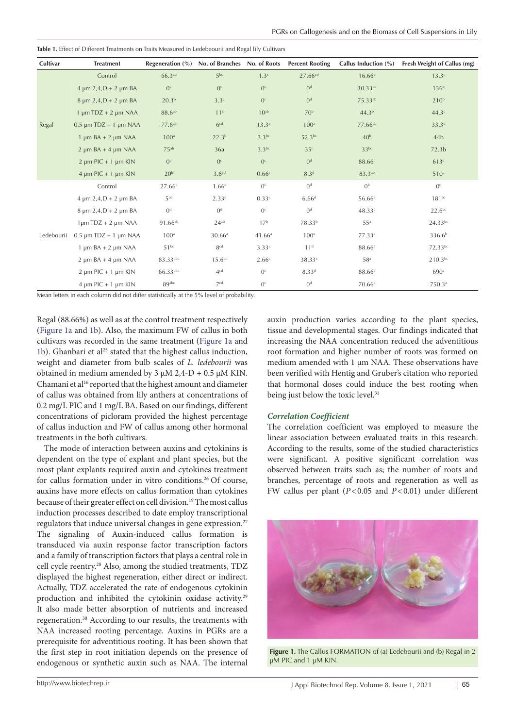| Cultivar   | <b>Treatment</b>               | Regeneration $(\% )$ |                    |                  | No. of Branches No. of Roots Percent Rooting | Callus Induction (%) | Fresh Weight of Callus (mg) |
|------------|--------------------------------|----------------------|--------------------|------------------|----------------------------------------------|----------------------|-----------------------------|
|            | Control                        | 66.3 <sup>ab</sup>   | 5 <sup>bc</sup>    | 1.3 <sup>c</sup> | 27.66 <sup>cd</sup>                          | 16.66c               | 13.3 <sup>c</sup>           |
| Regal      | $4 \mu m 2, 4, D + 2 \mu m BA$ | 0 <sup>c</sup>       | 0 <sup>c</sup>     | 0 <sup>c</sup>   | O <sup>d</sup>                               | $30.33^{bc}$         | 136 <sup>b</sup>            |
|            | $8 \mu m 2,4, D + 2 \mu m BA$  | 20.3 <sup>b</sup>    | 3.3c               | 0 <sup>c</sup>   | 0 <sup>d</sup>                               | 75.33ab              | 210 <sup>b</sup>            |
|            | 1 $\mu$ m TDZ + 2 $\mu$ m NAA  | 88.6 <sup>ab</sup>   | 11 <sup>c</sup>    | 10 <sub>ab</sub> | 70 <sup>b</sup>                              | 44.3 <sup>b</sup>    | 44.3 <sup>c</sup>           |
|            | $0.5 \mu m T DZ + 1 \mu m NAA$ | 77.6 <sup>ab</sup>   | 6 <sup>cd</sup>    | $13.3^{a}$       | 100 <sup>a</sup>                             | 77.66 <sup>ab</sup>  | 33.3c                       |
|            | $1 \mu m BA + 2 \mu m NAA$     | 100 <sup>a</sup>     | 22.3 <sup>b</sup>  | $3.3^{bc}$       | 52.3bc                                       | 40 <sup>b</sup>      | 44 <sub>b</sub>             |
|            | $2 \mu m BA + 4 \mu m NAA$     | $75^{ab}$            | 36a                | $3.3^{bc}$       | 35 <sup>c</sup>                              | $33^{bc}$            | 72.3 <sub>b</sub>           |
|            | $2 \mu m$ PIC + 1 $\mu$ m KIN  | 0 <sup>c</sup>       | 0 <sup>c</sup>     | 0 <sup>c</sup>   | 0 <sup>d</sup>                               | 88.66 <sup>a</sup>   | 613a                        |
|            | $4 \mu m$ PIC + 1 $\mu$ m KIN  | 20 <sup>b</sup>      | 3.6 <sup>cd</sup>  | 0.66c            | 8.3 <sup>d</sup>                             | 83.3 <sup>ab</sup>   | 510 <sup>a</sup>            |
| Ledebourii | Control                        | 27.66c               | 1.66 <sup>d</sup>  | 0 <sup>c</sup>   | 0 <sup>d</sup>                               | 0 <sup>b</sup>       | $0^{\circ}$                 |
|            | $4 \mu m 2, 4, D + 2 \mu m BA$ | 5 <sup>cd</sup>      | 2.33 <sup>d</sup>  | 0.33c            | 6.66d                                        | 56.66 <sup>a</sup>   | $181^{bc}$                  |
|            | $8 \mu m 2,4, D + 2 \mu m BA$  | 0 <sup>d</sup>       | 0 <sup>d</sup>     | 0 <sup>c</sup>   | 0 <sup>d</sup>                               | 48.33a               | $22.6^{bc}$                 |
|            | $1 \mu m T DZ + 2 \mu m NAA$   | $91.66^{ab}$         | $24^{ab}$          | 17 <sup>b</sup>  | 78.33 <sup>b</sup>                           | $55^{\rm a}$         | 24.33bc                     |
|            | $0.5 \mu m T DZ + 1 \mu m NAA$ | 100 <sup>a</sup>     | 30.66a             | 41.66a           | 100 <sup>a</sup>                             | 77.33ª               | 336.6 <sup>b</sup>          |
|            | $1 \mu m BA + 2 \mu m NAA$     | $51^{bc}$            | 8 <sup>cd</sup>    | 3.33c            | 11 <sup>d</sup>                              | 88.66a               | 72.33bc                     |
|            | $2 \mu m BA + 4 \mu m NAA$     | 83.33abc             | 15.6 <sup>bc</sup> | 2.66c            | 38.33 <sup>c</sup>                           | 58 <sup>a</sup>      | $210.3^{bc}$                |
|            | $2 \mu m$ PIC + 1 $\mu$ m KIN  | 66.33abc             | 4 <sup>cd</sup>    | 0 <sup>c</sup>   | 8.33 <sup>d</sup>                            | 88.66 <sup>a</sup>   | 690a                        |
|            | $4 \mu m$ PIC + 1 $\mu$ m KIN  | 89 <sup>abc</sup>    | 7 <sup>cd</sup>    | 0 <sup>c</sup>   | 0 <sup>d</sup>                               | $70.66$ <sup>a</sup> | 750.3ª                      |

<span id="page-2-0"></span>**Table 1.** Effect of Different Treatments on Traits Measured in Ledebeourii and Regal lily Cultivars

Mean letters in each column did not differ statistically at the 5% level of probability.

Regal (88.66%) as well as at the control treatment respectively ([Figure 1a](#page-2-1) and [1b](#page-2-1)). Also, the maximum FW of callus in both cultivars was recorded in the same treatment ([Figure 1a](#page-2-1) and [1b](#page-2-1)). Ghanbari et al<sup>25</sup> stated that the highest callus induction, weight and diameter from bulb scales of *L. ledebourii* was obtained in medium amended by 3  $\mu$ M 2,4-D + 0.5  $\mu$ M KIN. Chamani et al<sup>16</sup> reported that the highest amount and diameter of callus was obtained from lily anthers at concentrations of 0.2 mg/L PIC and 1 mg/L BA. Based on our findings, different concentrations of picloram provided the highest percentage of callus induction and FW of callus among other hormonal treatments in the both cultivars.

The mode of interaction between auxins and cytokinins is dependent on the type of explant and plant species, but the most plant explants required auxin and cytokines treatment for callus formation under in vitro conditions.<sup>26</sup> Of course, auxins have more effects on callus formation than cytokines because of their greater effect on cell division.19 The most callus induction processes described to date employ transcriptional regulators that induce universal changes in gene expression.<sup>27</sup> The signaling of Auxin-induced callus formation is transduced via auxin response factor transcription factors and a family of transcription factors that plays a central role in cell cycle reentry.28 Also, among the studied treatments, TDZ displayed the highest regeneration, either direct or indirect. Actually, TDZ accelerated the rate of endogenous cytokinin production and inhibited the cytokinin oxidase activity.<sup>29</sup> It also made better absorption of nutrients and increased regeneration.30 According to our results, the treatments with NAA increased rooting percentage. Auxins in PGRs are a prerequisite for adventitious rooting. It has been shown that the first step in root initiation depends on the presence of endogenous or synthetic auxin such as NAA. The internal

auxin production varies according to the plant species, tissue and developmental stages. Our findings indicated that increasing the NAA concentration reduced the adventitious root formation and higher number of roots was formed on medium amended with 1 µm NAA. These observations have been verified with Hentig and Gruber's citation who reported that hormonal doses could induce the best rooting when being just below the toxic level.<sup>31</sup>

## *Correlation Coefficient*

The correlation coefficient was employed to measure the linear association between evaluated traits in this research. According to the results, some of the studied characteristics were significant. A positive significant correlation was observed between traits such as; the number of roots and branches, percentage of roots and regeneration as well as FW callus per plant (*P*<0.05 and *P*<0.01) under different

<span id="page-2-1"></span>

**Figure 1.** The Callus FORMATION of (a) Ledebourii and (b) Regal in 2 µM PIC and 1 µM KIN.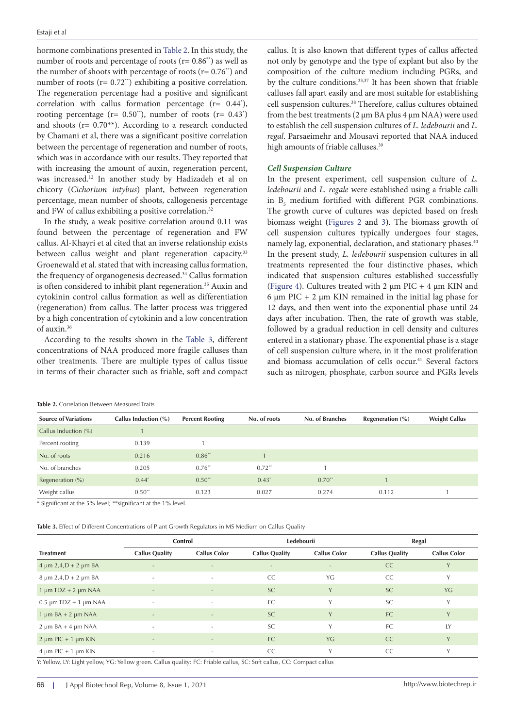hormone combinations presented in [Table 2.](#page-3-0) In this study, the number of roots and percentage of roots ( $r = 0.86$ <sup>\*\*</sup>) as well as the number of shoots with percentage of roots ( $r = 0.76$ <sup>\*\*</sup>) and number of roots ( $r = 0.72$ <sup>\*\*</sup>) exhibiting a positive correlation. The regeneration percentage had a positive and significant correlation with callus formation percentage (r= 0.44\* ), rooting percentage ( $r = 0.50$ <sup>\*\*</sup>), number of roots ( $r = 0.43$ <sup>\*</sup>) and shoots ( $r = 0.70**$ ). According to a research conducted by Chamani et al, there was a significant positive correlation between the percentage of regeneration and number of roots, which was in accordance with our results. They reported that with increasing the amount of auxin, regeneration percent, was increased.12 In another study by Hadizadeh et al on chicory (*Cichorium intybus*) plant, between regeneration percentage, mean number of shoots, callogenesis percentage and FW of callus exhibiting a positive correlation.<sup>32</sup>

In the study, a weak positive correlation around 0.11 was found between the percentage of regeneration and FW callus. Al-Khayri et al cited that an inverse relationship exists between callus weight and plant regeneration capacity.<sup>33</sup> Groenewald et al. stated that with increasing callus formation, the frequency of organogenesis decreased.34 Callus formation is often considered to inhibit plant regeneration.<sup>35</sup> Auxin and cytokinin control callus formation as well as differentiation (regeneration) from callus. The latter process was triggered by a high concentration of cytokinin and a low concentration of auxin.36

According to the results shown in the [Table 3,](#page-3-1) different concentrations of NAA produced more fragile calluses than other treatments. There are multiple types of callus tissue in terms of their character such as friable, soft and compact callus. It is also known that different types of callus affected not only by genotype and the type of explant but also by the composition of the culture medium including PGRs, and by the culture conditions.<sup>33,37</sup> It has been shown that friable calluses fall apart easily and are most suitable for establishing cell suspension cultures.38 Therefore, callus cultures obtained from the best treatments (2 µm BA plus 4 µm NAA) were used to establish the cell suspension cultures of *L. ledebourii* and *L. regal*. Parsaeimehr and Mousavi reported that NAA induced high amounts of friable calluses.<sup>39</sup>

#### *Cell Suspension Culture*

In the present experiment, cell suspension culture of *L. ledebourii* and *L. regale* were established using a friable calli in  $B_5$  medium fortified with different PGR combinations. The growth curve of cultures was depicted based on fresh biomass weight ([Figures 2](#page-4-0) and [3](#page-4-1)). The biomass growth of cell suspension cultures typically undergoes four stages, namely lag, exponential, declaration, and stationary phases.<sup>40</sup> In the present study, *L. ledebourii* suspension cultures in all treatments represented the four distinctive phases, which indicated that suspension cultures established successfully [\(Figure 4\)](#page-5-0). Cultures treated with 2  $\mu$ m PIC + 4  $\mu$ m KIN and 6  $\mu$ m PIC + 2  $\mu$ m KIN remained in the initial lag phase for 12 days, and then went into the exponential phase until 24 days after incubation. Then, the rate of growth was stable, followed by a gradual reduction in cell density and cultures entered in a stationary phase. The exponential phase is a stage of cell suspension culture where, in it the most proliferation and biomass accumulation of cells occur.<sup>41</sup> Several factors such as nitrogen, phosphate, carbon source and PGRs levels

<span id="page-3-0"></span>

| <b>Table 2.</b> Correlation Between Measured Traits |  |  |
|-----------------------------------------------------|--|--|

| <b>Source of Variations</b> | Callus Induction (%) | <b>Percent Rooting</b> | No. of roots         | No. of Branches | Regeneration $(\% )$ | <b>Weight Callus</b> |
|-----------------------------|----------------------|------------------------|----------------------|-----------------|----------------------|----------------------|
| Callus Induction (%)        |                      |                        |                      |                 |                      |                      |
| Percent rooting             | 0.139                |                        |                      |                 |                      |                      |
| No. of roots                | 0.216                | $0.86**$               |                      |                 |                      |                      |
| No. of branches             | 0.205                | $0.76**$               | $0.72$ <sup>**</sup> |                 |                      |                      |
| Regeneration $(\%)$         | $0.44*$              | $0.50**$               | $0.43*$              | $0.70**$        |                      |                      |
| Weight callus               | $0.50**$             | 0.123                  | 0.027                | 0.274           | 0.112                |                      |

\* Significant at the 5% level; \*\*significant at the 1% level.

<span id="page-3-1"></span>**Table 3.** Effect of Different Concentrations of Plant Growth Regulators in MS Medium on Callus Quality

|                                   | Control                  |                          | Ledebourii               |                          | Regal                 |                     |
|-----------------------------------|--------------------------|--------------------------|--------------------------|--------------------------|-----------------------|---------------------|
| <b>Treatment</b>                  | <b>Callus Quality</b>    | <b>Callus Color</b>      | <b>Callus Quality</b>    | <b>Callus Color</b>      | <b>Callus Quality</b> | <b>Callus Color</b> |
| $4 \mu m \ 2,4, D + 2 \mu m \ BA$ | $\overline{a}$           | $\overline{\phantom{a}}$ | $\overline{\phantom{a}}$ | $\overline{\phantom{a}}$ | CC                    |                     |
| $8 \mu m 2,4, D + 2 \mu m BA$     | $\overline{\phantom{a}}$ | $\overline{\phantom{a}}$ | <b>CC</b>                | YG                       | <b>CC</b>             | Y                   |
| $1 \mu m T DZ + 2 \mu m NAA$      | $\overline{a}$           | $\sim$                   | <b>SC</b>                | Y                        | <b>SC</b>             | YG                  |
| $0.5 \mu m T DZ + 1 \mu m NAA$    | $\sim$                   | $\sim$                   | <b>FC</b>                | Y                        | <b>SC</b>             | Y                   |
| $1 \mu m BA + 2 \mu m NAA$        |                          |                          | <b>SC</b>                | Y                        | FC                    | Y                   |
| $2 \mu m BA + 4 \mu m NAA$        | $\overline{\phantom{a}}$ | $\overline{\phantom{a}}$ | <b>SC</b>                | Y                        | <b>FC</b>             | IY                  |
| $2 \mu m$ PIC + 1 $\mu$ m KIN     | $\overline{a}$           | $\overline{\phantom{a}}$ | <b>FC</b>                | YG                       | CC                    | Y                   |
| $4 \mu m$ PIC + 1 $\mu$ m KIN     | $\sim$                   | $\sim$                   | CC                       | $\vee$                   | CC                    | Y                   |

Y: Yellow, LY: Light yellow, YG: Yellow green. Callus quality: FC: Friable callus, SC: Soft callus, CC: Compact callus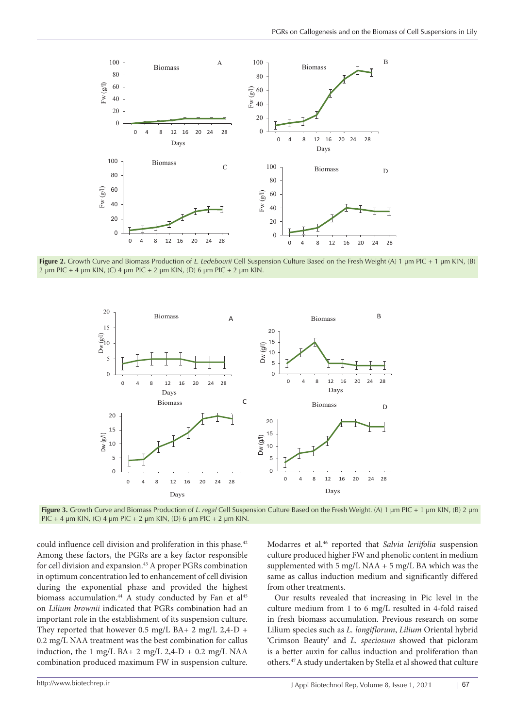<span id="page-4-0"></span>

**Figure 2.** Growth Curve and Biomass Production of *L. Ledebourii* Cell Suspension Culture Based on the Fresh Weight (A) 1 µm PIC + 1 µm KIN, (B) **2** μm PIC + 4 μm KIN, (C) 4 μm PIC + 2 μm KIN, (D) 6 μm PIC + 2 μm KIN.

<span id="page-4-1"></span>

Figure 3. Growth Curve and Biomass Production of L. regal Cell Suspension Culture Based on the Fresh Weight. (A) 1 µm PIC + 1 µm KIN, (B) 2 µm PIC + 4 µm KIN, (C) 4 µm PIC + 2 µm KIN, (D) 6 µm PIC + 2 µm KIN.  $(1 \text{ m } PIC + 2 \text{ nm }$  KIN,  $(D)$  6  $\text{ nm }$   $PIC + 2 \text{ nm }$  KIN

In the present research, an efficient protocol has been developed for callus induction and plantlet

could influence cell division and proliferation in this phase.<sup>42</sup> Among these factors, the PGRs are a key factor responsible for cell division and expansion.<sup>43</sup> A proper PGRs combination in optimum concentration led to enhancement of cell division during the exponential phase and provided the highest biomass accumulation.<sup>44</sup> A study conducted by Fan et al<sup>45</sup> on *Lilium brownii* indicated that PGRs combination had an important role in the establishment of its suspension culture. They reported that however 0.5 mg/L BA+ 2 mg/L 2,4-D + 0.2 mg/L NAA treatment was the best combination for callus Crimson Beauty' and *L. speciosu* induction, the  $1 \text{ mg/L BA} + 2 \text{ mg/L } 2,4-\text{D} + 0.2 \text{ mg/L NA}$  is combination produced maximum FW in suspension culture.

Modarres et al.46 reported that *Salvia leriifolia* suspension culture produced higher FW and phenolic content in medium supplemented with 5 mg/L NAA + 5 mg/L BA which was the same as callus induction medium and significantly differed from other treatments.

Our results revealed that increasing in Pic level in the culture medium from 1 to 6 mg/L resulted in 4-fold raised in fresh biomass accumulation. Previous research on some Lilium species such as *L. longiflorum*, *Lilium* Oriental hybrid 'Crimson Beauty' and *L. speciosum* showed that picloram is a better auxin for callus induction and proliferation than others.47 A study undertaken by Stella et al showed that culture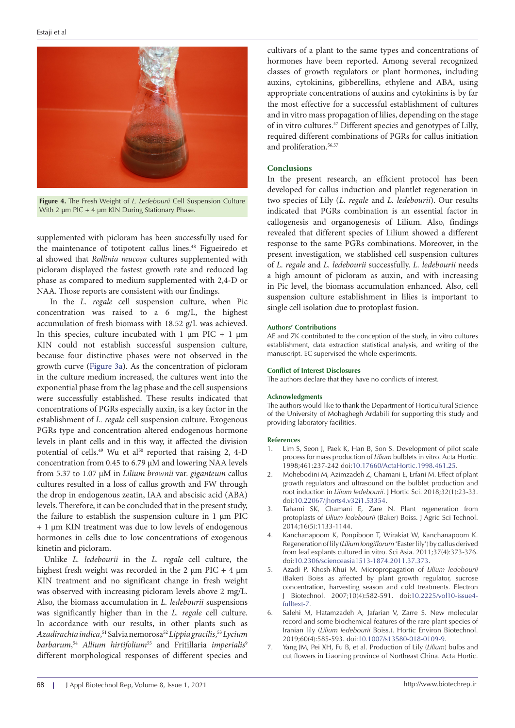<span id="page-5-0"></span>

**Figure 4.** The Fresh Weight of *L. Ledebourii* Cell Suspension Culture With 2  $\mu$ m PIC + 4  $\mu$ m KIN During Stationary Phase.

supplemented with picloram has been successfully used for the maintenance of totipotent callus lines.<sup>48</sup> Figueiredo et al showed that *Rollinia mucosa* cultures supplemented with picloram displayed the fastest growth rate and reduced lag phase as compared to medium supplemented with 2,4-D or NAA. Those reports are consistent with our findings.

 In the *L. regale* cell suspension culture, when Pic concentration was raised to a 6 mg/L, the highest accumulation of fresh biomass with 18.52 g/L was achieved. In this species, culture incubated with 1  $\mu$ m PIC + 1  $\mu$ m KIN could not establish successful suspension culture, because four distinctive phases were not observed in the growth curve ([Figure 3a\)](#page-4-1). As the concentration of picloram in the culture medium increased, the cultures went into the exponential phase from the lag phase and the cell suspensions were successfully established. These results indicated that concentrations of PGRs especially auxin, is a key factor in the establishment of *L. regale* cell suspension culture. Exogenous PGRs type and concentration altered endogenous hormone levels in plant cells and in this way, it affected the division potential of cells.<sup>49</sup> Wu et al<sup>50</sup> reported that raising 2, 4-D concentration from 0.45 to 6.79 µM and lowering NAA levels from 5.37 to 1.07 µM in *Lilium brownii* var. *giganteum* callus cultures resulted in a loss of callus growth and FW through the drop in endogenous zeatin, IAA and abscisic acid (ABA) levels. Therefore, it can be concluded that in the present study, the failure to establish the suspension culture in 1 µm PIC + 1 µm KIN treatment was due to low levels of endogenous hormones in cells due to low concentrations of exogenous kinetin and picloram.

Unlike *L. ledebourii* in the *L. regale* cell culture, the highest fresh weight was recorded in the 2  $\mu$ m PIC + 4  $\mu$ m KIN treatment and no significant change in fresh weight was observed with increasing picloram levels above 2 mg/L. Also, the biomass accumulation in *L. ledebourii* suspensions was significantly higher than in the *L. regale* cell culture. In accordance with our results, in other plants such as *Azadirachta indica*, 51 Salvia nemorosa52*Lippia gracilis*, <sup>53</sup>*Lycium barbarum*, <sup>54</sup> *Allium hirtifolium*55 and Fritillaria *imperialis*<sup>9</sup> different morphological responses of different species and cultivars of a plant to the same types and concentrations of hormones have been reported. Among several recognized classes of growth regulators or plant hormones, including auxins, cytokinins, gibberellins, ethylene and ABA, using appropriate concentrations of auxins and cytokinins is by far the most effective for a successful establishment of cultures and in vitro mass propagation of lilies, depending on the stage of in vitro cultures.47 Different species and genotypes of Lilly, required different combinations of PGRs for callus initiation and proliferation.<sup>56,57</sup>

## **Conclusions**

In the present research, an efficient protocol has been developed for callus induction and plantlet regeneration in two species of Lily (*L. regale* and *L. ledebourii*). Our results indicated that PGRs combination is an essential factor in callogenesis and organogenesis of Lilium. Also, findings revealed that different species of Lilium showed a different response to the same PGRs combinations. Moreover, in the present investigation, we stablished cell suspension cultures of *L. regale* and *L. ledebourii* successfully. *L. ledebourii* needs a high amount of picloram as auxin, and with increasing in Pic level, the biomass accumulation enhanced. Also, cell suspension culture establishment in lilies is important to single cell isolation due to protoplast fusion.

#### **Authors' Contributions**

AE and ZK contributed to the conception of the study, in vitro cultures establishment, data extraction statistical analysis, and writing of the manuscript. EC supervised the whole experiments.

#### **Conflict of Interest Disclosures**

The authors declare that they have no conflicts of interest.

#### **Acknowledgments**

The authors would like to thank the Department of Horticultural Science of the University of Mohaghegh Ardabili for supporting this study and providing laboratory facilities.

#### **References**

- 1. Lim S, Seon J, Paek K, Han B, Son S. Development of pilot scale process for mass production of *Lilium* bulblets in vitro. Acta Hortic. 1998;461:237-242 doi[:10.17660/ActaHortic.1998.461.25](https://doi.org/10.17660/ActaHortic.1998.461.25).
- 2. Mohebodini M, Azimzadeh Z, Chamani E, Erfani M. Effect of plant growth regulators and ultrasound on the bulblet production and root induction in *Lilium ledebourii*. J Hortic Sci. 2018;32(1):23-33. doi[:10.22067/jhorts4.v32i1.53354.](https://doi.org/10.22067/jhorts4.v32i1.53354)
- 3. Tahami SK, Chamani E, Zare N. Plant regeneration from protoplasts of *Lilium ledebourii* (Baker) Boiss. J Agric Sci Technol. 2014;16(5):1133-1144.
- 4. Kanchanapoom K, Ponpiboon T, Wirakiat W, Kanchanapoom K. Regeneration of lily (*Lilium longiflorum* 'Easter lily') by callus derived from leaf explants cultured in vitro. Sci Asia. 2011;37(4):373-376. doi[:10.2306/scienceasia1513-1874.2011.37.373.](https://doi.org/10.2306/scienceasia1513-1874.2011.37.373)
- 5. Azadi P, Khosh-Khui M. Micropropagation of *Lilium ledebourii* (Baker) Boiss as affected by plant growth regulator, sucrose concentration, harvesting season and cold treatments. Electron J Biotechnol. 2007;10(4):582-591. doi:[10.2225/vol10-issue4](https://doi.org/10.2225/vol10-issue4-fulltext-7) [fulltext-7.](https://doi.org/10.2225/vol10-issue4-fulltext-7)
- 6. Salehi M, Hatamzadeh A, Jafarian V, Zarre S. New molecular record and some biochemical features of the rare plant species of Iranian lily (*Lilium ledebourii* Boiss.). Hortic Environ Biotechnol. 2019;60(4):585-593. doi[:10.1007/s13580-018-0109-9](https://doi.org/10.1007/s13580-018-0109-9).
- 7. Yang JM, Pei XH, Fu B, et al. Production of Lily (*Lilium*) bulbs and cut flowers in Liaoning province of Northeast China. Acta Hortic.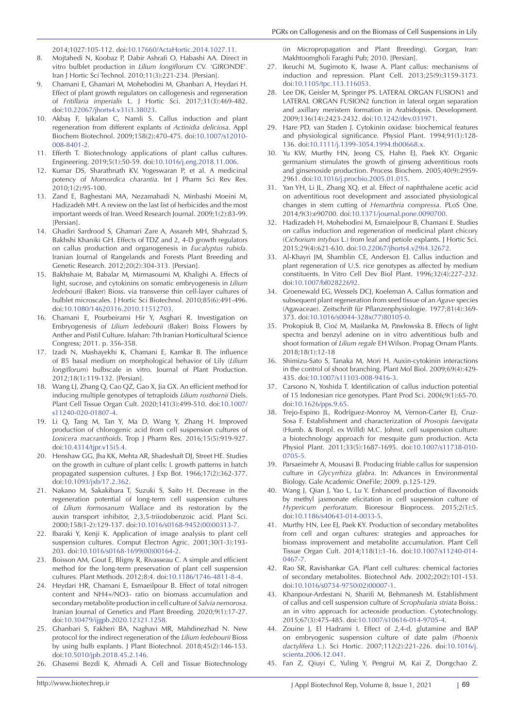2014;1027:105-112. doi:[10.17660/ActaHortic.2014.1027.11.](https://doi.org/10.17660/ActaHortic.2014.1027.11)

- 8. Mojtahedi N, Koobaz P, Dabir Ashrafi O, Habashi AA. Direct in vitro bulblet production in *Lilium longiflorum* CV. 'GIRONDE'. Iran J Hortic Sci Technol. 2010;11(3):221-234. [Persian].
- 9. Chamani E, Ghamari M, Mohebodini M, Ghanbari A, Heydari H. Effect of plant growth regulators on callogenesis and regeneration of *Fritillaria imperialis* L. J Hortic Sci. 2017;31(3):469-482. doi:[10.22067/jhorts4.v31i3.38023](https://doi.org/10.22067/jhorts4.v31i3.38023).
- 10. Akbaş F, Işikalan C, Namli S. Callus induction and plant regeneration from different explants of *Actinidia deliciosa*. Appl Biochem Biotechnol. 2009;158(2):470-475. doi[:10.1007/s12010-](https://doi.org/10.1007/s12010-008-8401-2) [008-8401-2](https://doi.org/10.1007/s12010-008-8401-2).
- 11. Efferth T. Biotechnology applications of plant callus cultures. Engineering. 2019;5(1):50-59. doi[:10.1016/j.eng.2018.11.006.](https://doi.org/10.1016/j.eng.2018.11.006)
- 12. Kumar DS, Sharathnath KV, Yogeswaran P, et al. A medicinal potency of *Momordica charantia*. Int J Pharm Sci Rev Res. 2010;1(2):95-100.
- 13. Zand E, Baghestani MA, Nezamabadi N, Minbashi Moeini M, Hadizadeh MH. A review on the last list of herbicides and the most important weeds of Iran. Weed Research Journal. 2009;1(2):83-99. [Persian].
- 14. Ghadiri Sardrood S, Ghamari Zare A, Assareh MH, Shahrzad S, Bakhshi Khaniki GH. Effects of TDZ and 2, 4-D growth regulators on callus production and organogenesis in *Eucalyptus rubida*. Iranian Journal of Rangelands and Forests Plant Breeding and Genetic Research. 2012;20(2):304-313. [Persian].
- 15. Bakhshaie M, Babalar M, Mirmasoumi M, Khalighi A. Effects of light, sucrose, and cytokinins on somatic embryogenesis in *Lilium ledebourii* (Baker) Bioss. via transverse thin cell-layer cultures of bulblet microscales. J Hortic Sci Biotechnol. 2010;85(6):491-496. doi:[10.1080/14620316.2010.11512703](https://doi.org/10.1080/14620316.2010.11512703).
- 16. Chamani E, Pourbeirami Hir Y, Asghari R. Investigation on Embryogenesis of *Lilium ledebourii* (Baker) Boiss Flowers by Anther and Pistil Culture. Isfahan: 7th Iranian Horticultural Science Congress; 2011. p. 356-358.
- 17. Izadi N, Mashayekhi K, Chamani E, Kamkar B. The influence of B5 basal medium on morphological behavior of Lily (*Lilium longiflorum*) bulbscale in vitro. Journal of Plant Production. 2012;18(1):119-132. [Persian].
- 18. Wang LJ, Zhang Q, Cao QZ, Gao X, Jia GX. An efficient method for inducing multiple genotypes of tetraploids *Lilium rosthornii* Diels. Plant Cell Tissue Organ Cult. 2020;141(3):499-510. doi[:10.1007/](https://doi.org/10.1007/s11240-020-01807-4) [s11240-020-01807-4.](https://doi.org/10.1007/s11240-020-01807-4)
- 19. Li Q, Tang M, Tan Y, Ma D, Wang Y, Zhang H. Improved production of chlorogenic acid from cell suspension cultures of *Lonicera macranthoids*. Trop J Pharm Res. 2016;15(5):919-927. doi:[10.4314/tjpr.v15i5.4](https://doi.org/10.4314/tjpr.v15i5.4).
- 20. Henshaw GG, Jha KK, Mehta AR, Shadeshaft DJ, Street HE. Studies on the growth in culture of plant cells: I. growth patterns in batch propagated suspension cultures. J Exp Bot. 1966;17(2):362-377. doi:[10.1093/jxb/17.2.362](https://doi.org/10.1093/jxb/17.2.362).
- 21. Nakano M, Sakakibara T, Suzuki S, Saito H. Decrease in the regeneration potential of long-term cell suspension cultures of *Lilium formosanum* Wallace and its restoration by the auxin transport inhibitor, 2,3,5-triiodobenzoic acid. Plant Sci. 2000;158(1-2):129-137. doi[:10.1016/s0168-9452\(00\)00313-7](https://doi.org/10.1016/s0168-9452(00)00313-7).
- 22. Ibaraki Y, Kenji K. Application of image analysis to plant cell suspension cultures. Comput Electron Agric. 2001;30(1-3):193- 203. doi:[10.1016/s0168-1699\(00\)00164-2.](https://doi.org/10.1016/s0168-1699(00)00164-2)
- 23. Boisson AM, Gout E, Bligny R, Rivasseau C. A simple and efficient method for the long-term preservation of plant cell suspension cultures. Plant Methods. 2012;8:4. doi:[10.1186/1746-4811-8-4](https://doi.org/10.1186/1746-4811-8-4).
- 24. Heydari HR, Chamani E, Esmaeilpour B. Effect of total nitrogen content and NH4+/NO3- ratio on biomass accumulation and secondary metabolite production in cell culture of *Salvia nemorosa*. Iranian Journal of Genetics and Plant Breeding. 2020;9(1):17-27. doi:[10.30479/ijgpb.2020.12321.1258](https://doi.org/10.30479/ijgpb.2020.12321.1258).
- 25. Ghanbari S, Fakheri BA, Naghavi MR, Mahdinezhad N. New protocol for the indirect regeneration of the *Lilium ledebourii* Bioss by using bulb explants. J Plant Biotechnol. 2018;45(2):146-153. doi:[10.5010/jpb.2018.45.2.146](https://doi.org/10.5010/jpb.2018.45.2.146).
- 26. Ghasemi Bezdi K, Ahmadi A. Cell and Tissue Biotechnology

(in Micropropagation and Plant Breeding). Gorgan, Iran: Makhtoomgholi Faraghi Pub; 2010. [Persian].

- 27. Ikeuchi M, Sugimoto K, Iwase A. Plant callus: mechanisms of induction and repression. Plant Cell. 2013;25(9):3159-3173. doi[:10.1105/tpc.113.116053.](https://doi.org/10.1105/tpc.113.116053)
- 28. Lee DK, Geisler M, Springer PS. LATERAL ORGAN FUSION1 and LATERAL ORGAN FUSION2 function in lateral organ separation and axillary meristem formation in Arabidopsis. Development. 2009;136(14):2423-2432. doi:[10.1242/dev.031971.](https://doi.org/10.1242/dev.031971)
- 29. Hare PD, van Staden J. Cytokinin oxidase: biochemical features and physiological significance. Physiol Plant. 1994;91(1):128- 136. doi[:10.1111/j.1399-3054.1994.tb00668.x](https://doi.org/10.1111/j.1399-3054.1994.tb00668.x).
- 30. Yu KW, Murthy HN, Jeong CS, Hahn EJ, Paek KY. Organic germanium stimulates the growth of ginseng adventitious roots and ginsenoside production. Process Biochem. 2005;40(9):2959- 2961. doi:[10.1016/j.procbio.2005.01.015.](https://doi.org/10.1016/j.procbio.2005.01.015)
- 31. Yan YH, Li JL, Zhang XQ, et al. Effect of naphthalene acetic acid on adventitious root development and associated physiological changes in stem cutting of *Hemarthria compressa*. PLoS One. 2014;9(3):e90700. doi:[10.1371/journal.pone.0090700](https://doi.org/10.1371/journal.pone.0090700).
- 32. Hadizadeh H, Mohebodini M, Esmaielpour B, Chamani E. Studies on callus induction and regeneration of medicinal plant chicory (*Cichorium intybus* L.) from leaf and petiole explants. J Hortic Sci. 2015;29(4):621-630. doi[:10.22067/jhorts4.v29i4.32672.](https://doi.org/10.22067/jhorts4.v29i4.32672)
- 33. Al-Khayri JM, Shamblin CE, Anderson EJ. Callus induction and plant regeneration of U.S. rice genotypes as affected by medium constituents. In Vitro Cell Dev Biol Plant. 1996;32(4):227-232. doi[:10.1007/bf02822692.](https://doi.org/10.1007/bf02822692)
- 34. Groenewald EG, Wessels DCJ, Koeleman A. Callus formation and subsequent plant regeneration from seed tissue of an *Agave* species (Agavaceae). Zeitschrift für Pflanzenphysiologie. 1977;81(4):369- 373. doi[:10.1016/s0044-328x\(77\)80105-0.](https://doi.org/10.1016/s0044-328x(77)80105-0)
- 35. Prokopiuk B, Cioć M, Maślanka M, Pawłowska B. Effects of light spectra and benzyl adenine on in vitro adventitious bulb and shoot formation of *Lilium regale* EH Wilson. Propag Ornam Plants. 2018;18(1):12-18
- 36. Shimizu-Sato S, Tanaka M, Mori H. Auxin-cytokinin interactions in the control of shoot branching. Plant Mol Biol. 2009;69(4):429- 435. doi[:10.1007/s11103-008-9416-3](https://doi.org/10.1007/s11103-008-9416-3).
- 37. Carsono N, Yoshida T. Identification of callus induction potential of 15 Indonesian rice genotypes. Plant Prod Sci. 2006;9(1):65-70. doi[:10.1626/pps.9.65](https://doi.org/10.1626/pps.9.65).
- 38. Trejo-Espino JL, Rodríguez-Monroy M, Vernon-Carter EJ, Cruz-Sosa F. Establishment and characterization of *Prosopis laevigata* (Humb. & Bonpl. ex Willd) M.C. Johnst. cell suspension culture: a biotechnology approach for mesquite gum production. Acta Physiol Plant. 2011;33(5):1687-1695. doi:[10.1007/s11738-010-](https://doi.org/10.1007/s11738-010-0705-5) [0705-5.](https://doi.org/10.1007/s11738-010-0705-5)
- 39. Parsaeimehr A, Mousavi B. Producing friable callus for suspension culture in *Glycyrrhiza glabra*. In: Advances in Environmental Biology. Gale Academic OneFile; 2009. p.125-129.
- 40. Wang J, Qian J, Yao L, Lu Y. Enhanced production of flavonoids by methyl jasmonate elicitation in cell suspension culture of *Hypericum perforatum*. Bioresour Bioprocess. 2015;2(1):5. doi[:10.1186/s40643-014-0033-5](https://doi.org/10.1186/s40643-014-0033-5).
- 41. Murthy HN, Lee EJ, Paek KY. Production of secondary metabolites from cell and organ cultures: strategies and approaches for biomass improvement and metabolite accumulation. Plant Cell Tissue Organ Cult. 2014;118(1):1-16. doi:[10.1007/s11240-014-](https://doi.org/10.1007/s11240-014-0467-7) [0467-7.](https://doi.org/10.1007/s11240-014-0467-7)
- 42. Rao SR, Ravishankar GA. Plant cell cultures: chemical factories of secondary metabolites. Biotechnol Adv. 2002;20(2):101-153. doi[:10.1016/s0734-9750\(02\)00007-1.](https://doi.org/10.1016/s0734-9750(02)00007-1)
- 43. Khanpour-Ardestani N, Sharifi M, Behmanesh M. Establishment of callus and cell suspension culture of *Scrophularia striata* Boiss.: an in vitro approach for acteoside production. Cytotechnology. 2015;67(3):475-485. doi[:10.1007/s10616-014-9705-4](https://doi.org/10.1007/s10616-014-9705-4).
- 44. Zouine J, El Hadrami I. Effect of 2,4-d, glutamine and BAP on embryogenic suspension culture of date palm (*Phoenix dactylifera* L.). Sci Hortic. 2007;112(2):221-226. doi[:10.1016/j.](https://doi.org/10.1016/j.scienta.2006.12.041) [scienta.2006.12.041.](https://doi.org/10.1016/j.scienta.2006.12.041)
- 45. Fan Z, Qiuyi C, Yuling Y, Pengrui M, Kai Z, Dongchao Z.